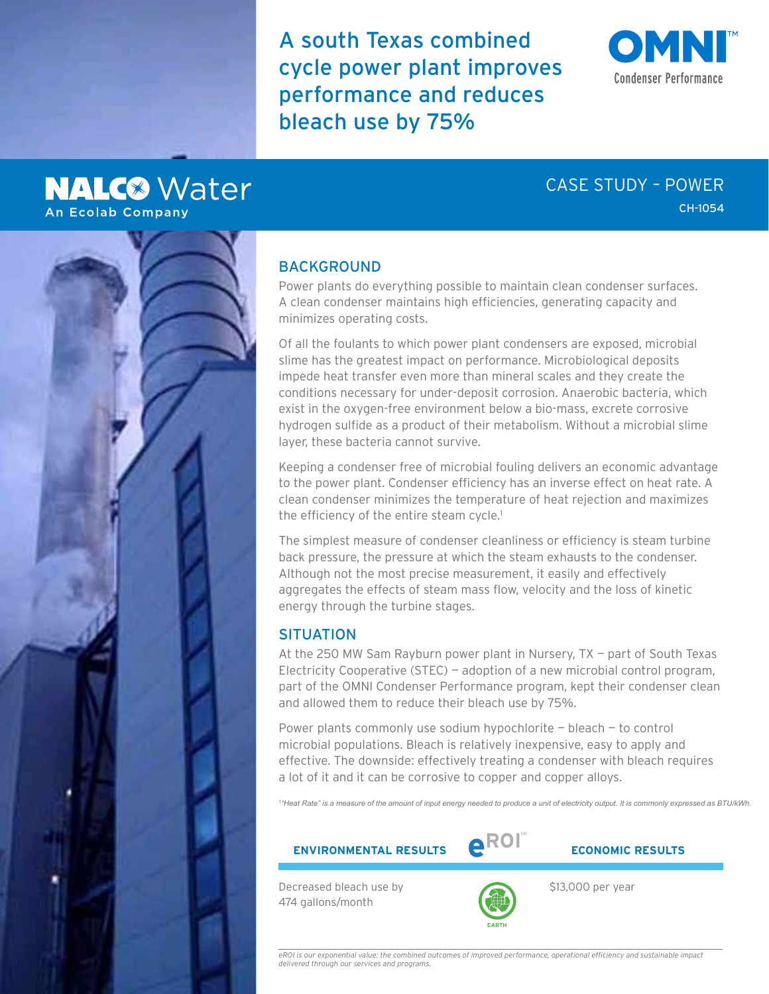A south Texas combined cycle power plant improves performance and reduces bleach use by 75%

# **Condenser Performance**

# **NALC<sup>®</sup>** Water **An Ecolab Company**

# CASE STUDY – POWER CH-1054



# BACKGROUND

Power plants do everything possible to maintain clean condenser surfaces. A clean condenser maintains high efficiencies, generating capacity and minimizes operating costs.

Of all the foulants to which power plant condensers are exposed, microbial slime has the greatest impact on performance. Microbiological deposits impede heat transfer even more than mineral scales and they create the conditions necessary for under-deposit corrosion. Anaerobic bacteria, which exist in the oxygen-free environment below a bio-mass, excrete corrosive hydrogen sulfide as a product of their metabolism. Without a microbial slime layer, these bacteria cannot survive.

Keeping a condenser free of microbial fouling delivers an economic advantage to the power plant. Condenser efficiency has an inverse effect on heat rate. A clean condenser minimizes the temperature of heat rejection and maximizes the efficiency of the entire steam cycle.<sup>1</sup>

The simplest measure of condenser cleanliness or efficiency is steam turbine back pressure, the pressure at which the steam exhausts to the condenser. Although not the most precise measurement, it easily and effectively aggregates the effects of steam mass flow, velocity and the loss of kinetic energy through the turbine stages.

## **SITUATION**

At the 250 MW Sam Rayburn power plant in Nursery, TX — part of South Texas Electricity Cooperative (STEC) — adoption of a new microbial control program, part of the OMNI Condenser Performance program, kept their condenser clean and allowed them to reduce their bleach use by 75%.

Power plants commonly use sodium hypochlorite — bleach — to control microbial populations. Bleach is relatively inexpensive, easy to apply and effective. The downside: effectively treating a condenser with bleach requires a lot of it and it can be corrosive to copper and copper alloys.

*1 "Heat Rate" is a measure of the amount of input energy needed to produce a unit of electricity output. It is commonly expressed as BTU/kWh.*





Decreased bleach use by 474 gallons/month



\$13,000 per year

*eROI is our exponential value: the combined outcomes of improved performance, operational efficiency and sustainable impact delivered through our services and programs.*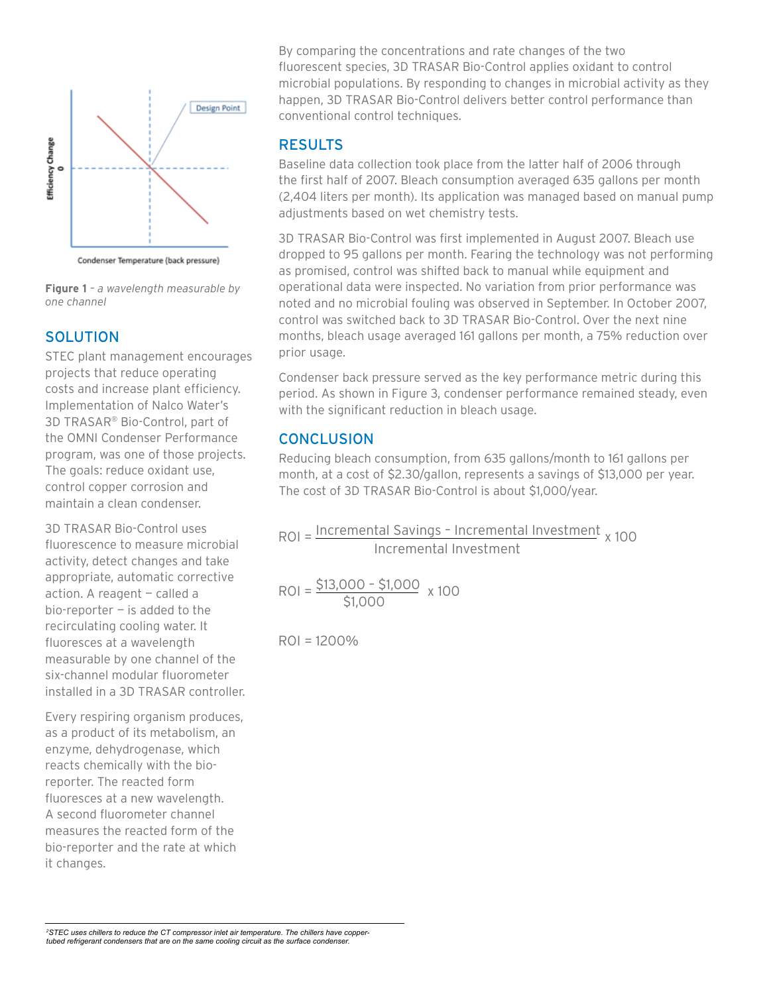

Condenser Temperature (back pressure)

**Figure 1** *– a wavelength measurable by one channel* 

### **SOLUTION**

STEC plant management encourages projects that reduce operating costs and increase plant efficiency. Implementation of Nalco Water's 3D TRASAR® Bio-Control, part of the OMNI Condenser Performance program, was one of those projects. The goals: reduce oxidant use, control copper corrosion and maintain a clean condenser.

3D TRASAR Bio-Control uses fluorescence to measure microbial activity, detect changes and take appropriate, automatic corrective action. A reagent — called a bio-reporter  $-$  is added to the recirculating cooling water. It fluoresces at a wavelength measurable by one channel of the six-channel modular fluorometer installed in a 3D TRASAR controller.

Every respiring organism produces, as a product of its metabolism, an enzyme, dehydrogenase, which reacts chemically with the bioreporter. The reacted form fluoresces at a new wavelength. A second fluorometer channel measures the reacted form of the bio-reporter and the rate at which it changes.

By comparing the concentrations and rate changes of the two fluorescent species, 3D TRASAR Bio-Control applies oxidant to control microbial populations. By responding to changes in microbial activity as they happen, 3D TRASAR Bio-Control delivers better control performance than conventional control techniques.

# RESULTS

Baseline data collection took place from the latter half of 2006 through the first half of 2007. Bleach consumption averaged 635 gallons per month (2,404 liters per month). Its application was managed based on manual pump adjustments based on wet chemistry tests.

3D TRASAR Bio-Control was first implemented in August 2007. Bleach use dropped to 95 gallons per month. Fearing the technology was not performing as promised, control was shifted back to manual while equipment and operational data were inspected. No variation from prior performance was noted and no microbial fouling was observed in September. In October 2007, control was switched back to 3D TRASAR Bio-Control. Over the next nine months, bleach usage averaged 161 gallons per month, a 75% reduction over prior usage.

Condenser back pressure served as the key performance metric during this period. As shown in Figure 3, condenser performance remained steady, even with the significant reduction in bleach usage.

# **CONCLUSION**

Reducing bleach consumption, from 635 gallons/month to 161 gallons per month, at a cost of \$2.30/gallon, represents a savings of \$13,000 per year. The cost of 3D TRASAR Bio-Control is about \$1,000/year.

ROI = Incremental Savings - Incremental Investment <sub>x 100</sub> Incremental Investment

\$1,000  $ROI = \frac{$13,000 - $1,000}{x,100}$ 

ROI = 1200%

*2 STEC uses chillers to reduce the CT compressor inlet air temperature. The chillers have coppertubed refrigerant condensers that are on the same cooling circuit as the surface condenser.*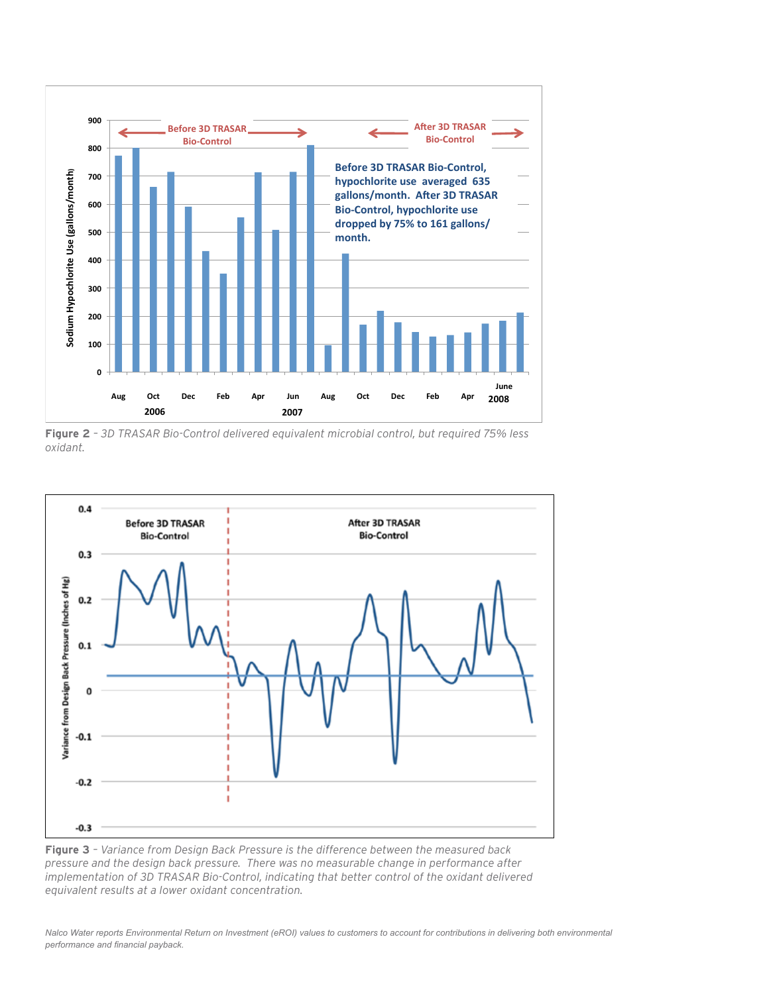

**Figure 2** *– 3D TRASAR Bio-Control delivered equivalent microbial control, but required 75% less oxidant.*



**Figure 3** *– Variance from Design Back Pressure is the difference between the measured back pressure and the design back pressure. There was no measurable change in performance after implementation of 3D TRASAR Bio-Control, indicating that better control of the oxidant delivered equivalent results at a lower oxidant concentration.*